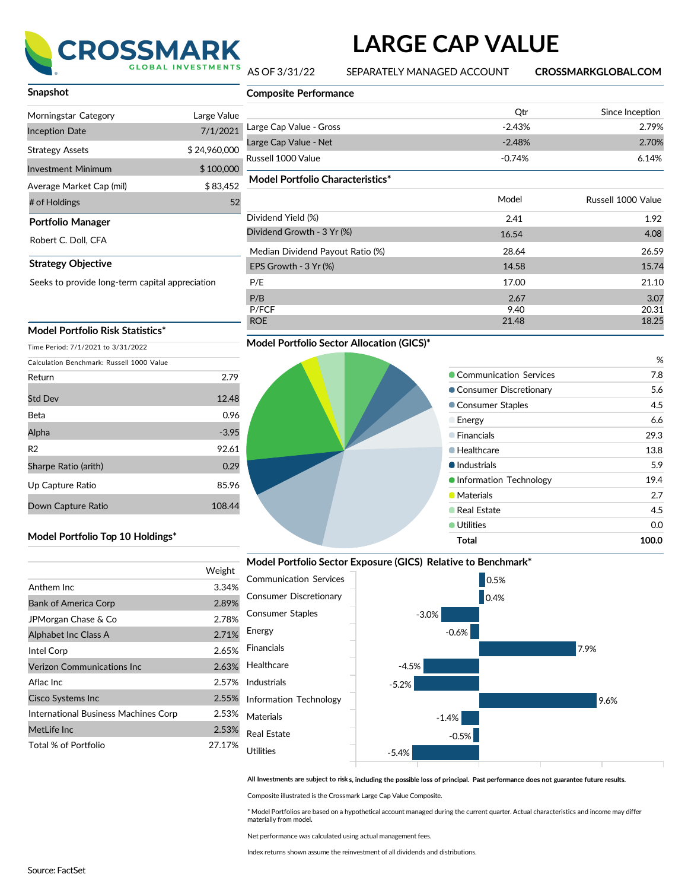

# **LARGE CAP VALUE**

**Composite Performance**

AS OF 3/31/22 SEPARATELY MANAGED ACCOUNT **CROSSMARKGLOBAL.COM**

| <u>Jilapanot</u>         |              |
|--------------------------|--------------|
| Morningstar Category     | Large Value  |
| <b>Inception Date</b>    | 7/1/2021     |
| <b>Strategy Assets</b>   | \$24,960,000 |
| Investment Minimum       | \$100,000    |
| Average Market Cap (mil) | \$83,452     |
| # of Holdings            | 52           |
| Portfolio Manager        |              |
| Robert C. Doll. CFA      |              |
|                          |              |

## **Strategy Objective**

**Snapshot**

Seeks to provide long-term capital appreciation

### **Model Portfolio Risk Statistics\***

| Time Period: 7/1/2021 to 3/31/2022        |         |  |  |
|-------------------------------------------|---------|--|--|
| Calculation Benchmark: Russell 1000 Value |         |  |  |
| Return                                    | 2.79    |  |  |
| Std Dev                                   | 12.48   |  |  |
| Beta                                      | 0.96    |  |  |
| Alpha                                     | $-3.95$ |  |  |
| R <sub>2</sub>                            | 92.61   |  |  |
| Sharpe Ratio (arith)                      | 0.29    |  |  |
| Up Capture Ratio                          | 85.96   |  |  |
| Down Capture Ratio                        | 108.44  |  |  |

|                                  | Qtr      | Since Inception    |
|----------------------------------|----------|--------------------|
| Large Cap Value - Gross          | $-2.43%$ | 2.79%              |
| Large Cap Value - Net            | $-2.48%$ | 2.70%              |
| Russell 1000 Value               | $-0.74%$ | 6.14%              |
| Model Portfolio Characteristics* |          |                    |
|                                  | Model    | Russell 1000 Value |
| Dividend Yield (%)               | 2.41     | 1.92               |
| Dividend Growth - 3 Yr (%)       | 16.54    | 4.08               |
| Median Dividend Payout Ratio (%) | 28.64    | 26.59              |
| EPS Growth - 3 Yr (%)            | 14.58    | 15.74              |
| P/E                              | 17.00    | 21.10              |
| P/B                              | 2.67     | 3.07               |
| P/FCF                            | 9.40     | 20.31              |
| <b>ROE</b>                       | 21.48    | 18.25              |

## **Model Portfolio Sector Allocation (GICS)\***

|                             | %     |
|-----------------------------|-------|
| • Communication Services    | 7.8   |
| • Consumer Discretionary    | 5.6   |
| Consumer Staples            | 4.5   |
| Energy                      | 6.6   |
| $\triangleright$ Financials | 29.3  |
| Healthcare                  | 13.8  |
| <b>•</b> Industrials        | 5.9   |
| • Information Technology    | 19.4  |
| <b>Materials</b>            | 2.7   |
| Real Estate                 | 4.5   |
| <b>Utilities</b>            | 0.0   |
| <b>Total</b>                | 100.0 |
|                             |       |

## **Model Portfolio Top 10 Holdings\***

|                                      | Weight |
|--------------------------------------|--------|
| Anthem Inc                           | 3.34%  |
| <b>Bank of America Corp</b>          | 2.89%  |
| JPMorgan Chase & Co                  | 2.78%  |
| Alphabet Inc Class A                 | 2.71%  |
| Intel Corp                           | 2.65%  |
| <b>Verizon Communications Inc.</b>   | 2.63%  |
| Aflac Inc                            | 2.57%  |
| Cisco Systems Inc                    | 2.55%  |
| International Business Machines Corp | 2.53%  |
| MetLife Inc                          | 2.53%  |
| Total % of Portfolio                 | 27.17% |
|                                      |        |

## **Model Portfolio Sector Exposure (GICS) Relative to Benchmark\***



#### All Investments are subject to risks, including the possible loss of principal. Past performance does not guarantee future results.

Composite illustrated is the Crossmark Large Cap Value Composite.

\* Model Portfolios are based on a hypothetical account managed during the current quarter. Actual characteristics and income may differ materially from model**.**

Net performance was calculated using actual management fees.

Index returns shown assume the reinvestment of all dividends and distributions.